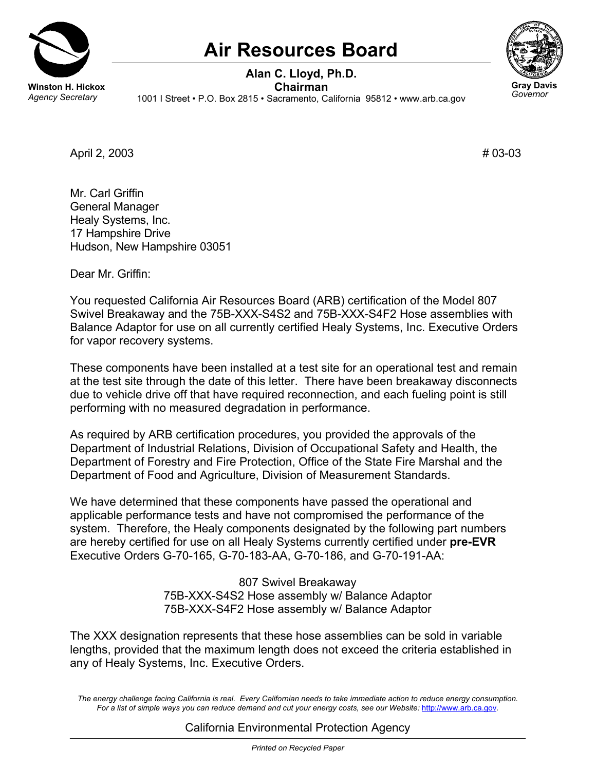

## **Air Resources Board**



*Governor* 

**Alan C. Lloyd, Ph.D. Winston H. Hickox**<br>*Agency Secretary* 1001 | Street • P.O. Box 2815 • Sacramento, Ca *Agency Secretary* 1001 I Street • P.O. Box 2815 • Sacramento, California 95812 • <www.arb.ca.gov>

April 2, 2003 **#** 03-03

Mr. Carl Griffin General Manager Healy Systems, Inc. 17 Hampshire Drive Hudson, New Hampshire 03051

Dear Mr. Griffin:

You requested California Air Resources Board (ARB) certification of the Model 807 Swivel Breakaway and the 75B-XXX-S4S2 and 75B-XXX-S4F2 Hose assemblies with Balance Adaptor for use on all currently certified Healy Systems, Inc. Executive Orders for vapor recovery systems.

These components have been installed at a test site for an operational test and remain at the test site through the date of this letter. There have been breakaway disconnects due to vehicle drive off that have required reconnection, and each fueling point is still performing with no measured degradation in performance.

As required by ARB certification procedures, you provided the approvals of the Department of Industrial Relations, Division of Occupational Safety and Health, the Department of Forestry and Fire Protection, Office of the State Fire Marshal and the Department of Food and Agriculture, Division of Measurement Standards.

We have determined that these components have passed the operational and applicable performance tests and have not compromised the performance of the system. Therefore, the Healy components designated by the following part numbers are hereby certified for use on all Healy Systems currently certified under **pre-EVR** Executive Orders G-70-165, G-70-183-AA, G-70-186, and G-70-191-AA:

> 807 Swivel Breakaway 75B-XXX-S4S2 Hose assembly w/ Balance Adaptor 75B-XXX-S4F2 Hose assembly w/ Balance Adaptor

The XXX designation represents that these hose assemblies can be sold in variable lengths, provided that the maximum length does not exceed the criteria established in any of Healy Systems, Inc. Executive Orders.

*The energy challenge facing California is real. Every Californian needs to take immediate action to reduce energy consumption. For a list of simple ways you can reduce demand and cut your energy costs, see our Website:* <http://www.arb.ca.gov>*.* 

## California Environmental Protection Agency